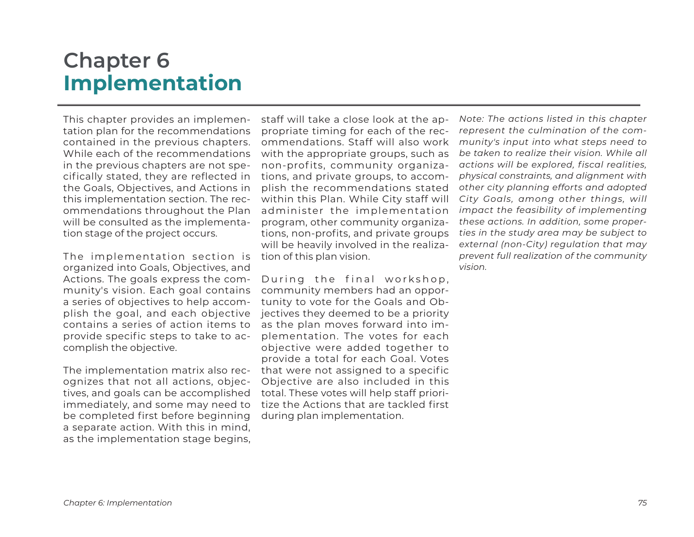# **Chapter 6 Implementation**

This chapter provides an implementation plan for the recommendations contained in the previous chapters. While each of the recommendations in the previous chapters are not specifically stated, they are reflected in the Goals, Objectives, and Actions in this implementation section. The recommendations throughout the Plan will be consulted as the implementation stage of the project occurs.

The implementation section is organized into Goals, Objectives, and Actions. The goals express the community's vision. Each goal contains a series of objectives to help accomplish the goal, and each objective contains a series of action items to provide specific steps to take to accomplish the objective.

The implementation matrix also recognizes that not all actions, objectives, and goals can be accomplished immediately, and some may need to be completed first before beginning a separate action. With this in mind, as the implementation stage begins,

staff will take a close look at the appropriate timing for each of the recommendations. Staff will also work with the appropriate groups, such as non-profits, community organizations, and private groups, to accomplish the recommendations stated within this Plan. While City staff will administer the implementation program, other community organizations, non-profits, and private groups will be heavily involved in the realization of this plan vision.

During the final workshop, community members had an opportunity to vote for the Goals and Objectives they deemed to be a priority as the plan moves forward into implementation. The votes for each objective were added together to provide a total for each Goal. Votes that were not assigned to a specific Objective are also included in this total. These votes will help staff prioritize the Actions that are tackled first during plan implementation.

*Note: The actions listed in this chapter represent the culmination of the community's input into what steps need to be taken to realize their vision. While all actions will be explored, fiscal realities, physical constraints, and alignment with other city planning efforts and adopted City Goals, among other things, will impact the feasibility of implementing these actions. In addition, some properties in the study area may be subject to external (non-City) regulation that may prevent full realization of the community vision.*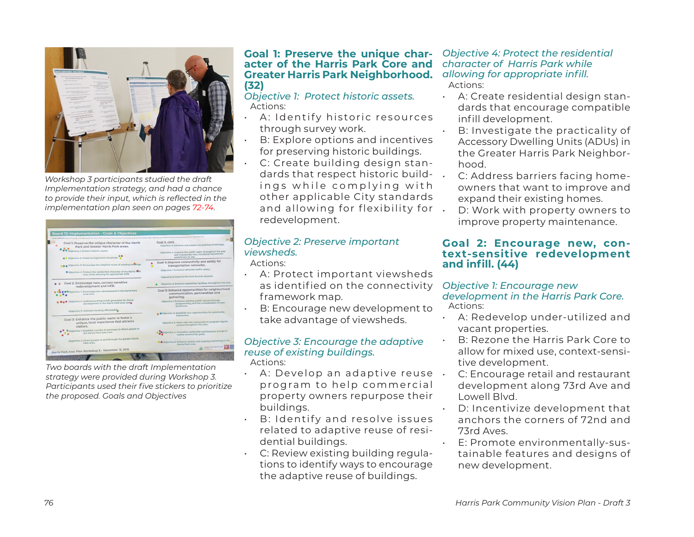

*Workshop 3 participants studied the draft Implementation strategy, and had a chance to provide their input, which is reflected in the implementation plan seen on pages 72-74.*

| <b>Board 12: Implementation - Goals &amp; Objectives</b><br>Instituctions: liv-lev the goals and objectives for the Hanis Park and below. Then, add your five (\$) man to the left the goals and/or elsertives you below should be the top priorities for the that there are a |                                                                                                                                  |
|--------------------------------------------------------------------------------------------------------------------------------------------------------------------------------------------------------------------------------------------------------------------------------|----------------------------------------------------------------------------------------------------------------------------------|
| Goal 1: Preserve the unique character of the Harris<br>Park and Greater Harris Park areas.                                                                                                                                                                                     | Goal 3, cont.<br>Objective 3: Enhance and extend the existing streetscape.                                                       |
| Objective 1: Protect historic assets.<br>Dijective 2: Preserve Important viewsheds.                                                                                                                                                                                            | Objective 4: Improve the public realm throughout the area<br>and incorporate new, functional features for<br>pedestrians to use. |
| A M Objective 3: Encourage the adaptive reuse of existing buildings.                                                                                                                                                                                                           | Goal 4: Improve connectivity and safety for<br>transportation networks.                                                          |
| <b>*</b> Objective 4: Protect the residential character of the Harris Park<br>area while allowing for appropriate infill.                                                                                                                                                      | Objective 1: Enhance vehicular traffic safety.                                                                                   |
|                                                                                                                                                                                                                                                                                | Objective 2: Improve the local bicycle network.                                                                                  |
| Goal 2: Encourage new, context-sensitive<br>redevelopment and infill.                                                                                                                                                                                                          | Objective 3: Enhance pedestrian facilities throughout the area.                                                                  |
| <b>XObjective 1:</b> Encourage new development in the Harris Park<br>area core.                                                                                                                                                                                                | Goal 5: Enhance opportunities for neighborhood<br>communication, partnerships and<br>gathering.                                  |
| A Objective 2: Address parking needs generated by future<br>development in the Harris Park area cores                                                                                                                                                                          | Objective 1: Enhance existing public spaces through<br>programming and the consideration of new<br>structures.                   |
| Objective 3: Maintain housing affordability                                                                                                                                                                                                                                    | * KObjective 2: Establish new opportunities for community<br>interaction.                                                        |
| Goal 3: Enhance the public realm to foster a<br>unique, local experience that attracts<br>visitors.                                                                                                                                                                            | Objective 3: Work with the community to program regular<br>events throughout the area.                                           |
| Objective 1: Establish a series of gateways to direct people to<br>the Harris Park area core.                                                                                                                                                                                  | <b>KObjective 4: Formalize residential and business groups to</b><br>realize community goals.                                    |
| Objective 2: Direct people to and through the greater Harris<br>Park area.                                                                                                                                                                                                     | Sobjective 5: Enhance events and ongoing marketing of the<br>Harris Park area.                                                   |
| Harris Park Area Plan Workshop 3 - November 13, 2019                                                                                                                                                                                                                           | WESTMINSTE                                                                                                                       |

*Two boards with the draft Implementation strategy were provided during Workshop 3. Participants used their five stickers to prioritize the proposed. Goals and Objectives*

## **Goal 1: Preserve the unique char- acter of the Harris Park Core and Greater Harris Park Neighborhood. (32)**

*Objective 1: Protect historic assets.*  Actions:

- A: I dentify historic resources through survey work.
- B: Explore options and incentives for preserving historic buildings.
- C: Create building design standards that respect historic build- . ings while complying with other applicable City standards and allowing for flexibility for . redevelopment.

## *Objective 2: Preserve important viewsheds.*

Actions:

- A: Protect important viewsheds as identified on the connectivity framework map.
- B: Encourage new development to take advantage of viewsheds.

#### *Objective 3: Encourage the adaptive reuse of existing buildings.*  Actions:

- $\cdot$  A: Develop an adaptive reuse. program to help commercial property owners repurpose their buildings.
- B: Identify and resolve issues related to adaptive reuse of residential buildings.
- C: Review existing building regulations to identify ways to encourage the adaptive reuse of buildings.

#### *Objective 4: Protect the residential character of Harris Park while allowing for appropriate infill.*  Actions:

• A: Create residential design standards that encourage compatible infill development.

- B: Investigate the practicality of Accessory Dwelling Units (ADUs) in the Greater Harris Park Neighborhood.
	- C: Address barriers facing homeowners that want to improve and expand their existing homes.
- D: Work with property owners to improve property maintenance.

## **Goal 2: Encourage new, context-sensitive redevelopment and infill. (44)**

#### *Objective 1: Encourage new development in the Harris Park Core.*  Actions:

- A: Redevelop under-utilized and vacant properties.
- B: Rezone the Harris Park Core to allow for mixed use, context-sensitive development.
- C: Encourage retail and restaurant development along 73rd Ave and Lowell Blvd.
- D: Incentivize development that anchors the corners of 72nd and 73rd Aves.
- E: Promote environmentally-sustainable features and designs of new development.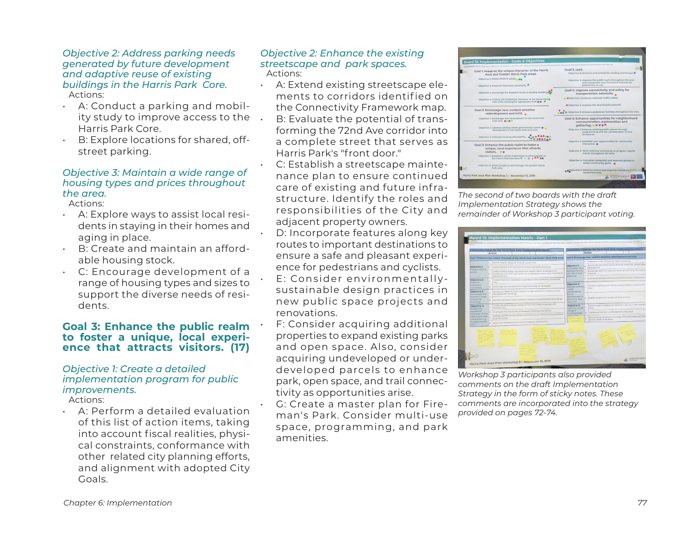#### *Objective 2: Address parking needs generated by future development and adaptive reuse of existing buildings in the Harris Park Core.*  Actions:

- A: Conduct a parking and mobility study to improve access to the Harris Park Core.
- B: Explore locations for shared, offstreet parking.

#### *Objective 3: Maintain a wide range of housing types and prices throughout the area.*

Actions:

- A: Explore ways to assist local residents in staying in their homes and aging in place.
- B: Create and maintain an affordable housing stock.
- C: Encourage development of a range of housing types and sizes to support the diverse needs of residents.

#### **Goal 3: Enhance the public realm to foster a unique, local experience that attracts visitors. (17)**

## *Objective 1: Create a detailed implementation program for public improvements.*

Actions:

• A: Perform a detailed evaluation of this list of action items, taking into account fiscal realities, physical constraints, conformance with other related city planning efforts, and alignment with adopted City Goals.

#### *Objective 2: Enhance the existing streetscape and park spaces.*  Actions:

• A: Extend existing streetscape elements to corridors identif ied on the Connectivity Framework map. • B: Evaluate the potential of transforming the 72nd Ave corridor into a complete street that serves as Harris Park's "front door."

• C: Establish a streetscape maintenance plan to ensure continued care of existing and future infrastructure. Identify the roles and responsibilities of the City and adjacent property owners.

- D: Incorporate features along key routes to important destinations to ensure a safe and pleasant experience for pedestrians and cyclists. • E: Consider environmentallysustainable design practices in
- new public space projects and renovations. F: Consider acquiring additional properties to expand existing parks and open space. Also, consider acquiring undeveloped or underdeveloped parcels to enhance park, open space, and trail connectivity as opportunities arise.
- G: Create a master plan for Fireman's Park. Consider multi-use space, programming, and park amenities.



*The second of two boards with the draft Implementation Strategy shows the remainder of Workshop 3 participant voting.*



*Workshop 3 participants also provided comments on the draft Implementation Strategy in the form of sticky notes. These comments are incorporated into the strategy provided on pages 72-74.*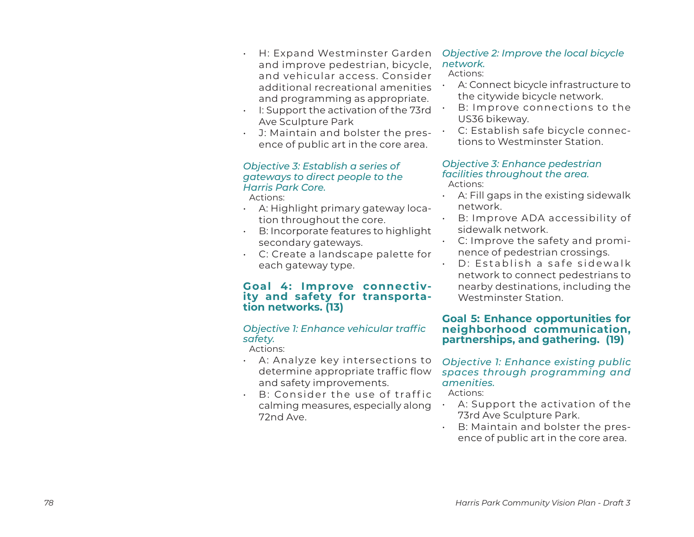- *78 Park Community Community Community Community Community Community Community Community Community Community Community Community Community Community Community Community Community Community Community Community Community* and improve pedestrian, bicycle, and vehicular access. Consider additional recreational amenities and programming as appropriate.
	- I: Support the activation of the 73rd Ave Sculpture Park
	- J: Maintain and bolster the pres ence of public art in the core area.

## *Objective 3: Establish a series of gateways to direct people to the Harris Park Core.*

Actions:

- A: Highlight primary gateway loca tion throughout the core.
- B: Incorporate features to highlight secondary gateways.
- C: Create a landscape palette for each gateway type.

## **Goal 4: Improve connectiv ity and safety for transporta tion networks. (13)**

## *Objective 1: Enhance vehicular traffic safety.*

Actions:

- A: Analyze key intersections to determine appropriate traffic flow and safety improvements.
- $\cdot$  B: Consider the use of traffic calming measures, especially along 72nd Ave.

#### *Objective 2: Improve the local bicycle network.*  Actions:

## • A: Connect bicycle infrastructure to the citywide bicycle network.

- B: Improve connections to the US36 bikeway.
- C: Establish safe bicycle connec tions to Westminster Station.

#### *Objective 3: Enhance pedestrian facilities throughout the area.* Actions:

- $\cdot$  A: Fill gaps in the existing sidewalk network.
- B: Improve ADA accessibility of sidewalk network.
- C: Improve the safety and promi nence of pedestrian crossings.
	- D: Establish a safe sidewalk network to connect pedestrians to nearby destinations, including the Westminster Station.

## **Goal 5: Enhance opportunities for neighborhood communication, partnerships, and gathering. (19)**

## *Objective 1: Enhance existing public spaces through programming and amenities.*

Actions:

- $\cdot$  A: Support the activation of the 73rd Ave Sculpture Park.
- B: Maintain and bolster the pres ence of public art in the core area.